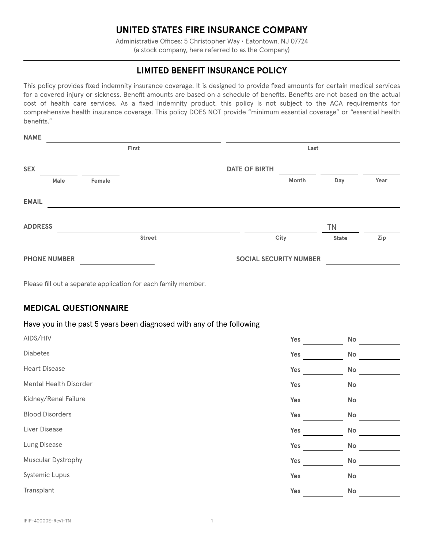# **UNITED STATES FIRE INSURANCE COMPANY**

Administrative Offices: 5 Christopher Way • Eatontown, NJ 07724 (a stock company, here referred to as the Company)

## **LIMITED BENEFIT INSURANCE POLICY**

This policy provides fixed indemnity insurance coverage. It is designed to provide fixed amounts for certain medical services for a covered injury or sickness. Benefit amounts are based on a schedule of benefits. Benefits are not based on the actual cost of health care services. As a fixed indemnity product, this policy is not subject to the ACA requirements for comprehensive health insurance coverage. This policy DOES NOT provide "minimum essential coverage" or "essential health benefits."

| <b>NAME</b>         |      |        |                               |                      |       |              |      |
|---------------------|------|--------|-------------------------------|----------------------|-------|--------------|------|
|                     |      |        | First                         |                      | Last  |              |      |
| <b>SEX</b>          |      |        |                               | <b>DATE OF BIRTH</b> |       |              |      |
|                     | Male | Female |                               |                      | Month | Day          | Year |
| <b>EMAIL</b>        |      |        |                               |                      |       |              |      |
| <b>ADDRESS</b>      |      |        |                               |                      |       | <b>TN</b>    |      |
|                     |      |        | <b>Street</b>                 |                      | City  | <b>State</b> | Zip  |
| <b>PHONE NUMBER</b> |      |        | <b>SOCIAL SECURITY NUMBER</b> |                      |       |              |      |

Please fill out a separate application for each family member.

### **MEDICAL QUESTIONNAIRE**

**NAME**

#### Have you in the past 5 years been diagnosed with any of the following

| AIDS/HIV               | Yes | No            |
|------------------------|-----|---------------|
| Diabetes               | Yes | No            |
| <b>Heart Disease</b>   | Yes | No            |
| Mental Health Disorder | Yes | No            |
| Kidney/Renal Failure   | Yes | No            |
| <b>Blood Disorders</b> | Yes | No            |
| Liver Disease          | Yes | No            |
| Lung Disease           | Yes | $\mathsf{No}$ |
| Muscular Dystrophy     | Yes | No            |
| Systemic Lupus         | Yes | No            |
| Transplant             | Yes | No            |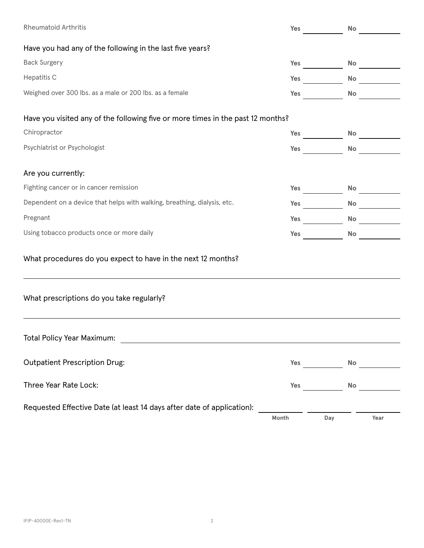| <b>Rheumatoid Arthritis</b>                                                                        |       | Yes $\qquad \qquad \qquad$<br>No _________                                                                                                                                                                                                                                                                                                                                                                                                                                  |  |  |  |
|----------------------------------------------------------------------------------------------------|-------|-----------------------------------------------------------------------------------------------------------------------------------------------------------------------------------------------------------------------------------------------------------------------------------------------------------------------------------------------------------------------------------------------------------------------------------------------------------------------------|--|--|--|
| Have you had any of the following in the last five years?                                          |       |                                                                                                                                                                                                                                                                                                                                                                                                                                                                             |  |  |  |
| <b>Back Surgery</b>                                                                                |       | Yes<br>No __________                                                                                                                                                                                                                                                                                                                                                                                                                                                        |  |  |  |
| Hepatitis C                                                                                        |       | <b>Note</b> that the state of the state of the state of the state of the state of the state of the state of the state of the state of the state of the state of the state of the state of the state of the state of the state of th<br><b>These areas in the Second State of the Second State and State and State and State and State and State and State and State and State and State and State and State and State and State and State and State and State and State</b> |  |  |  |
| Weighed over 300 lbs. as a male or 200 lbs. as a female                                            |       | Yes<br>No                                                                                                                                                                                                                                                                                                                                                                                                                                                                   |  |  |  |
| Have you visited any of the following five or more times in the past 12 months?                    |       |                                                                                                                                                                                                                                                                                                                                                                                                                                                                             |  |  |  |
| Chiropractor                                                                                       |       | No<br><b>Testing the Second Service Service Service Service Service Service Service Service Service Service Service Service Service Service Service Service Service Service Service Service Service Service Service Service Service Se</b>                                                                                                                                                                                                                                  |  |  |  |
| Psychiatrist or Psychologist                                                                       |       | <b>Note</b><br><b>Testing the Second Service Service Service Service Service Service Service Service Service Service Service Service Service Service Service Service Service Service Service Service Service Service Service Service Service Se</b>                                                                                                                                                                                                                         |  |  |  |
| Are you currently:                                                                                 |       |                                                                                                                                                                                                                                                                                                                                                                                                                                                                             |  |  |  |
| Fighting cancer or in cancer remission                                                             |       | <b>Testing the Second Service Service Service Service Service Service Service Service Service Service Service Service Service Service Service Service Service Service Service Service Service Service Service Service Service Se</b>                                                                                                                                                                                                                                        |  |  |  |
| Dependent on a device that helps with walking, breathing, dialysis, etc.                           |       | <b>No</b><br><b>These Services</b>                                                                                                                                                                                                                                                                                                                                                                                                                                          |  |  |  |
| Pregnant                                                                                           |       | No ________                                                                                                                                                                                                                                                                                                                                                                                                                                                                 |  |  |  |
| Using tobacco products once or more daily                                                          |       | Yes<br>No                                                                                                                                                                                                                                                                                                                                                                                                                                                                   |  |  |  |
| What procedures do you expect to have in the next 12 months?                                       |       |                                                                                                                                                                                                                                                                                                                                                                                                                                                                             |  |  |  |
| What prescriptions do you take regularly?                                                          |       |                                                                                                                                                                                                                                                                                                                                                                                                                                                                             |  |  |  |
| <b>Total Policy Year Maximum:</b><br><u> 1989 - Johann Stein, mars an deutscher Stein († 1958)</u> |       |                                                                                                                                                                                                                                                                                                                                                                                                                                                                             |  |  |  |
| <b>Outpatient Prescription Drug:</b>                                                               |       | <b>Yes</b> and the set of the set of the set of the set of the set of the set of the set of the set of the set of the set of the set of the set of the set of the set of the set of the set of the set of the set of the set of the<br><b>Note</b>                                                                                                                                                                                                                          |  |  |  |
| Three Year Rate Lock:                                                                              |       | <b>These Services</b><br>No                                                                                                                                                                                                                                                                                                                                                                                                                                                 |  |  |  |
| Requested Effective Date (at least 14 days after date of application):                             | Month | Day<br>Year                                                                                                                                                                                                                                                                                                                                                                                                                                                                 |  |  |  |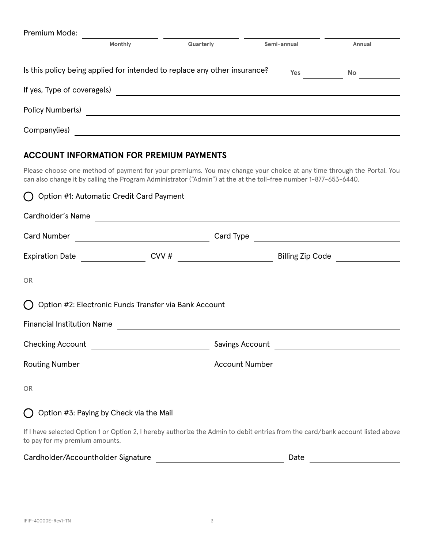| Premium Mode:               |         |                                                                           |             |           |
|-----------------------------|---------|---------------------------------------------------------------------------|-------------|-----------|
|                             | Monthly | Quarterly                                                                 | Semi-annual | Annual    |
|                             |         | Is this policy being applied for intended to replace any other insurance? | Yes         | <b>No</b> |
| If yes, Type of coverage(s) |         |                                                                           |             |           |
| Policy Number(s)            |         |                                                                           |             |           |
| Company(ies)                |         |                                                                           |             |           |

# **ACCOUNT INFORMATION FOR PREMIUM PAYMENTS**

Please choose one method of payment for your premiums. You may change your choice at any time through the Portal. You can also change it by calling the Program Administrator ("Admin") at the at the toll-free number 1-877-653-6440.

| () Option #1: Automatic Credit Card Payment                       |  |                                                                                                                                |
|-------------------------------------------------------------------|--|--------------------------------------------------------------------------------------------------------------------------------|
| Cardholder's Name                                                 |  |                                                                                                                                |
|                                                                   |  |                                                                                                                                |
|                                                                   |  |                                                                                                                                |
| <b>OR</b>                                                         |  |                                                                                                                                |
| () Option #2: Electronic Funds Transfer via Bank Account          |  |                                                                                                                                |
|                                                                   |  | Financial Institution Name                                                                                                     |
|                                                                   |  |                                                                                                                                |
|                                                                   |  |                                                                                                                                |
| <b>OR</b>                                                         |  |                                                                                                                                |
| Option #3: Paying by Check via the Mail<br>$\left( \quad \right)$ |  |                                                                                                                                |
| to pay for my premium amounts.                                    |  | If I have selected Option 1 or Option 2, I hereby authorize the Admin to debit entries from the card/bank account listed above |

| Cardholder/Accountholder Signature<br>. | Jate |  |
|-----------------------------------------|------|--|
|                                         |      |  |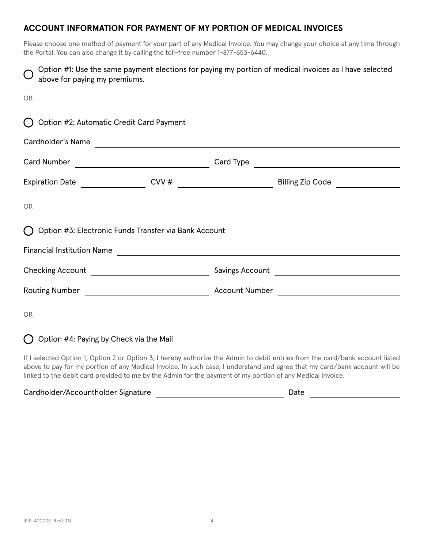## **ACCOUNT INFORMATION FOR PAYMENT OF MY PORTION OF MEDICAL INVOICES**

Please choose one method of payment for your part of any Medical Invoice. You may change your choice at any time through the Portal. You can also change it by calling the toll-free number 1-877-653-6440.

| above for paying my premiums.                         | Option #1: Use the same payment elections for paying my portion of medical invoices as I have selected |  |  |  |  |
|-------------------------------------------------------|--------------------------------------------------------------------------------------------------------|--|--|--|--|
| <b>OR</b>                                             |                                                                                                        |  |  |  |  |
| Option #2: Automatic Credit Card Payment              |                                                                                                        |  |  |  |  |
| Cardholder's Name                                     |                                                                                                        |  |  |  |  |
|                                                       |                                                                                                        |  |  |  |  |
|                                                       | Billing Zip Code                                                                                       |  |  |  |  |
| <b>OR</b>                                             |                                                                                                        |  |  |  |  |
| Option #3: Electronic Funds Transfer via Bank Account |                                                                                                        |  |  |  |  |
| <b>Financial Institution Name</b>                     | <u> 1988 - Johann Barnett, fransk politiker (d. 1988)</u>                                              |  |  |  |  |
|                                                       |                                                                                                        |  |  |  |  |
|                                                       |                                                                                                        |  |  |  |  |
| <b>OR</b>                                             |                                                                                                        |  |  |  |  |

 $\bigcap$  Option #4: Paying by Check via the Mail

If I selected Option 1, Option 2 or Option 3, I hereby authorize the Admin to debit entries from the card/bank account listed above to pay for my portion of any Medical Invoice. In such case, I understand and agree that my card/bank account will be linked to the debit card provided to me by the Admin for the payment of my portion of any Medical Invoice.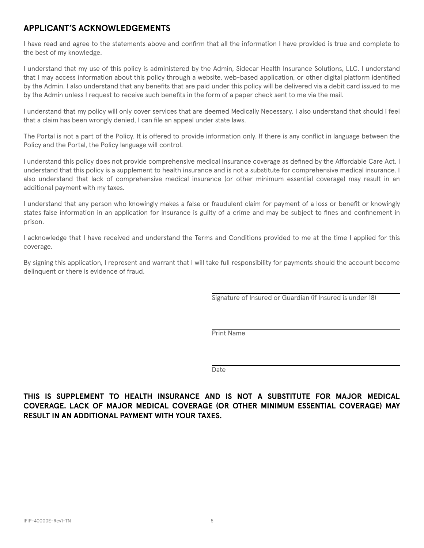## **APPLICANT'S ACKNOWLEDGEMENTS**

I have read and agree to the statements above and confirm that all the information I have provided is true and complete to the best of my knowledge.

I understand that my use of this policy is administered by the Admin, Sidecar Health Insurance Solutions, LLC. I understand that I may access information about this policy through a website, web-based application, or other digital platform identified by the Admin. I also understand that any benefits that are paid under this policy will be delivered via a debit card issued to me by the Admin unless I request to receive such benefits in the form of a paper check sent to me via the mail.

I understand that my policy will only cover services that are deemed Medically Necessary. I also understand that should I feel that a claim has been wrongly denied, I can file an appeal under state laws.

The Portal is not a part of the Policy. It is offered to provide information only. If there is any conflict in language between the Policy and the Portal, the Policy language will control.

I understand this policy does not provide comprehensive medical insurance coverage as defined by the Affordable Care Act. I understand that this policy is a supplement to health insurance and is not a substitute for comprehensive medical insurance. I also understand that lack of comprehensive medical insurance (or other minimum essential coverage) may result in an additional payment with my taxes.

I understand that any person who knowingly makes a false or fraudulent claim for payment of a loss or benefit or knowingly states false information in an application for insurance is guilty of a crime and may be subject to fines and confinement in prison.

I acknowledge that I have received and understand the Terms and Conditions provided to me at the time I applied for this coverage.

By signing this application, I represent and warrant that I will take full responsibility for payments should the account become delinquent or there is evidence of fraud.

Signature of Insured or Guardian (if Insured is under 18)

Print Name

Date

**THIS IS SUPPLEMENT TO HEALTH INSURANCE AND IS NOT A SUBSTITUTE FOR MAJOR MEDICAL COVERAGE. LACK OF MAJOR MEDICAL COVERAGE (OR OTHER MINIMUM ESSENTIAL COVERAGE) MAY RESULT IN AN ADDITIONAL PAYMENT WITH YOUR TAXES.**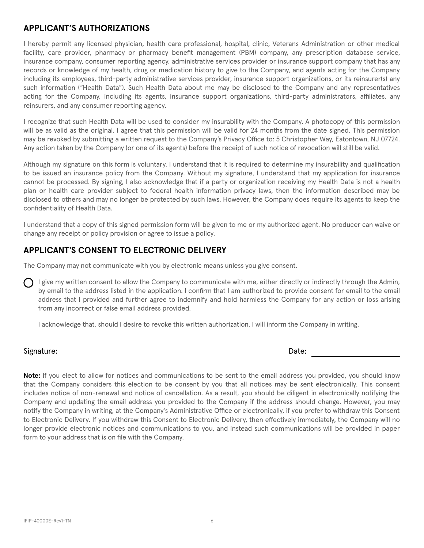### **APPLICANT'S AUTHORIZATIONS**

I hereby permit any licensed physician, health care professional, hospital, clinic, Veterans Administration or other medical facility, care provider, pharmacy or pharmacy benefit management (PBM) company, any prescription database service, insurance company, consumer reporting agency, administrative services provider or insurance support company that has any records or knowledge of my health, drug or medication history to give to the Company, and agents acting for the Company including its employees, third-party administrative services provider, insurance support organizations, or its reinsurer(s) any such information ("Health Data"). Such Health Data about me may be disclosed to the Company and any representatives acting for the Company, including its agents, insurance support organizations, third-party administrators, affiliates, any reinsurers, and any consumer reporting agency.

I recognize that such Health Data will be used to consider my insurability with the Company. A photocopy of this permission will be as valid as the original. I agree that this permission will be valid for 24 months from the date signed. This permission may be revoked by submitting a written request to the Company's Privacy Office to: 5 Christopher Way, Eatontown, NJ 07724. Any action taken by the Company (or one of its agents) before the receipt of such notice of revocation will still be valid.

Although my signature on this form is voluntary, I understand that it is required to determine my insurability and qualification to be issued an insurance policy from the Company. Without my signature, I understand that my application for insurance cannot be processed. By signing, I also acknowledge that if a party or organization receiving my Health Data is not a health plan or health care provider subject to federal health information privacy laws, then the information described may be disclosed to others and may no longer be protected by such laws. However, the Company does require its agents to keep the confidentiality of Health Data.

I understand that a copy of this signed permission form will be given to me or my authorized agent. No producer can waive or change any receipt or policy provision or agree to issue a policy.

# **APPLICANT'S CONSENT TO ELECTRONIC DELIVERY**

The Company may not communicate with you by electronic means unless you give consent.

I give my written consent to allow the Company to communicate with me, either directly or indirectly through the Admin, by email to the address listed in the application. I confirm that I am authorized to provide consent for email to the email address that I provided and further agree to indemnify and hold harmless the Company for any action or loss arising from any incorrect or false email address provided.

I acknowledge that, should I desire to revoke this written authorization, I will inform the Company in writing.

### Signature: Date:

**Note:** If you elect to allow for notices and communications to be sent to the email address you provided, you should know that the Company considers this election to be consent by you that all notices may be sent electronically. This consent includes notice of non-renewal and notice of cancellation. As a result, you should be diligent in electronically notifying the Company and updating the email address you provided to the Company if the address should change. However, you may notify the Company in writing, at the Company's Administrative Office or electronically, if you prefer to withdraw this Consent to Electronic Delivery. If you withdraw this Consent to Electronic Delivery, then effectively immediately, the Company will no longer provide electronic notices and communications to you, and instead such communications will be provided in paper form to your address that is on file with the Company.